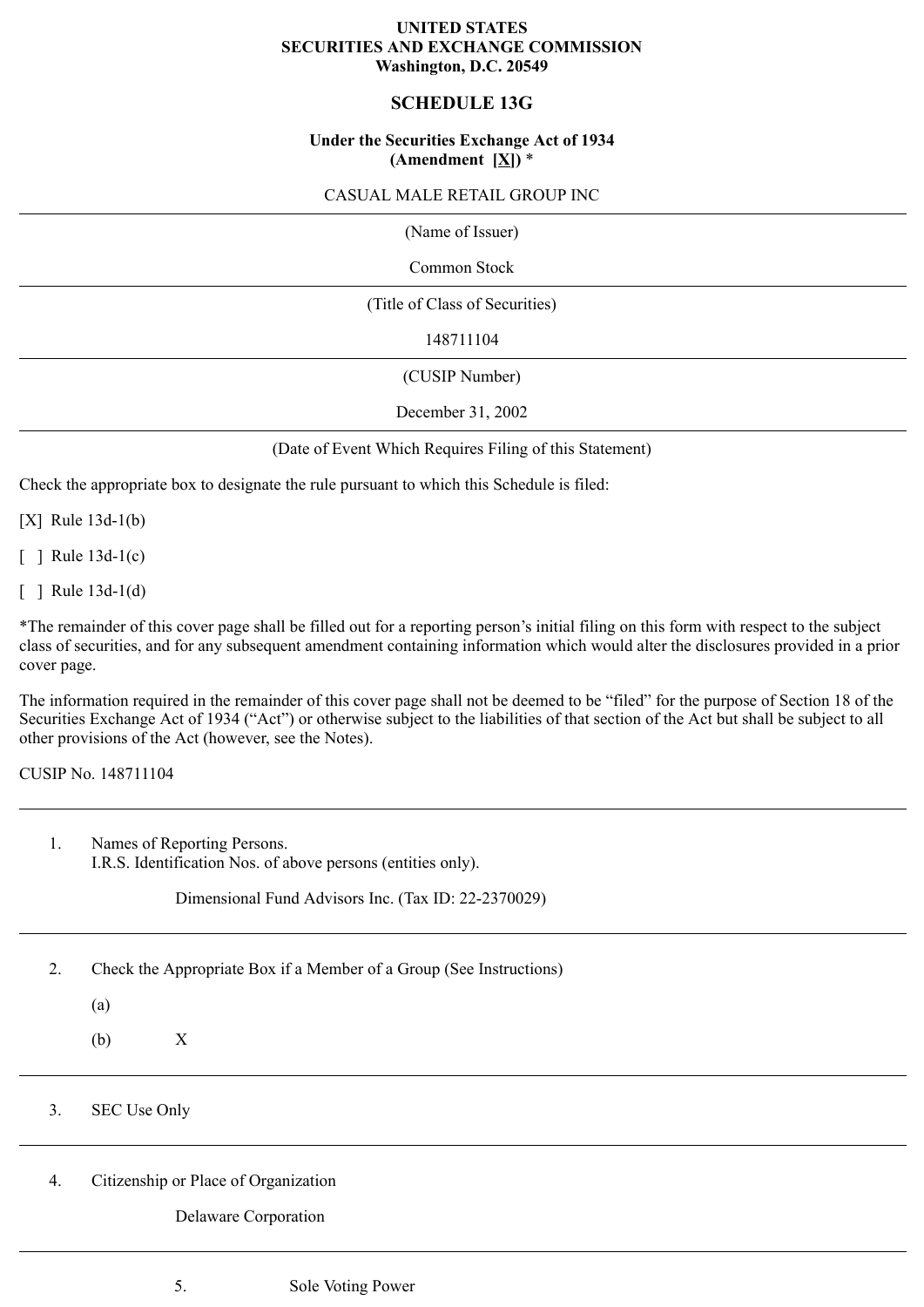## **UNITED STATES SECURITIES AND EXCHANGE COMMISSION Washington, D.C. 20549**

# **SCHEDULE 13G**

# **Under the Securities Exchange Act of 1934** (Amendment  $[\underline{X}]$ ) \*

## CASUAL MALE RETAIL GROUP INC

(Name of Issuer)

Common Stock

(Title of Class of Securities)

148711104

(CUSIP Number)

December 31, 2002

(Date of Event Which Requires Filing of this Statement)

Check the appropriate box to designate the rule pursuant to which this Schedule is filed:

[X] Rule 13d-1(b)

[ ] Rule 13d-1(c)

[ ] Rule 13d-1(d)

\*The remainder of this cover page shall be filled out for a reporting person's initial filing on this form with respect to the subject class of securities, and for any subsequent amendment containing information which would alter the disclosures provided in a prior cover page.

The information required in the remainder of this cover page shall not be deemed to be "filed" for the purpose of Section 18 of the Securities Exchange Act of 1934 ("Act") or otherwise subject to the liabilities of that section of the Act but shall be subject to all other provisions of the Act (however, see the Notes).

CUSIP No. 148711104

1. Names of Reporting Persons. I.R.S. Identification Nos. of above persons (entities only).

Dimensional Fund Advisors Inc. (Tax ID: 22-2370029)

2. Check the Appropriate Box if a Member of a Group (See Instructions)

(a)

(b) X

3. SEC Use Only

4. Citizenship or Place of Organization

Delaware Corporation

5. Sole Voting Power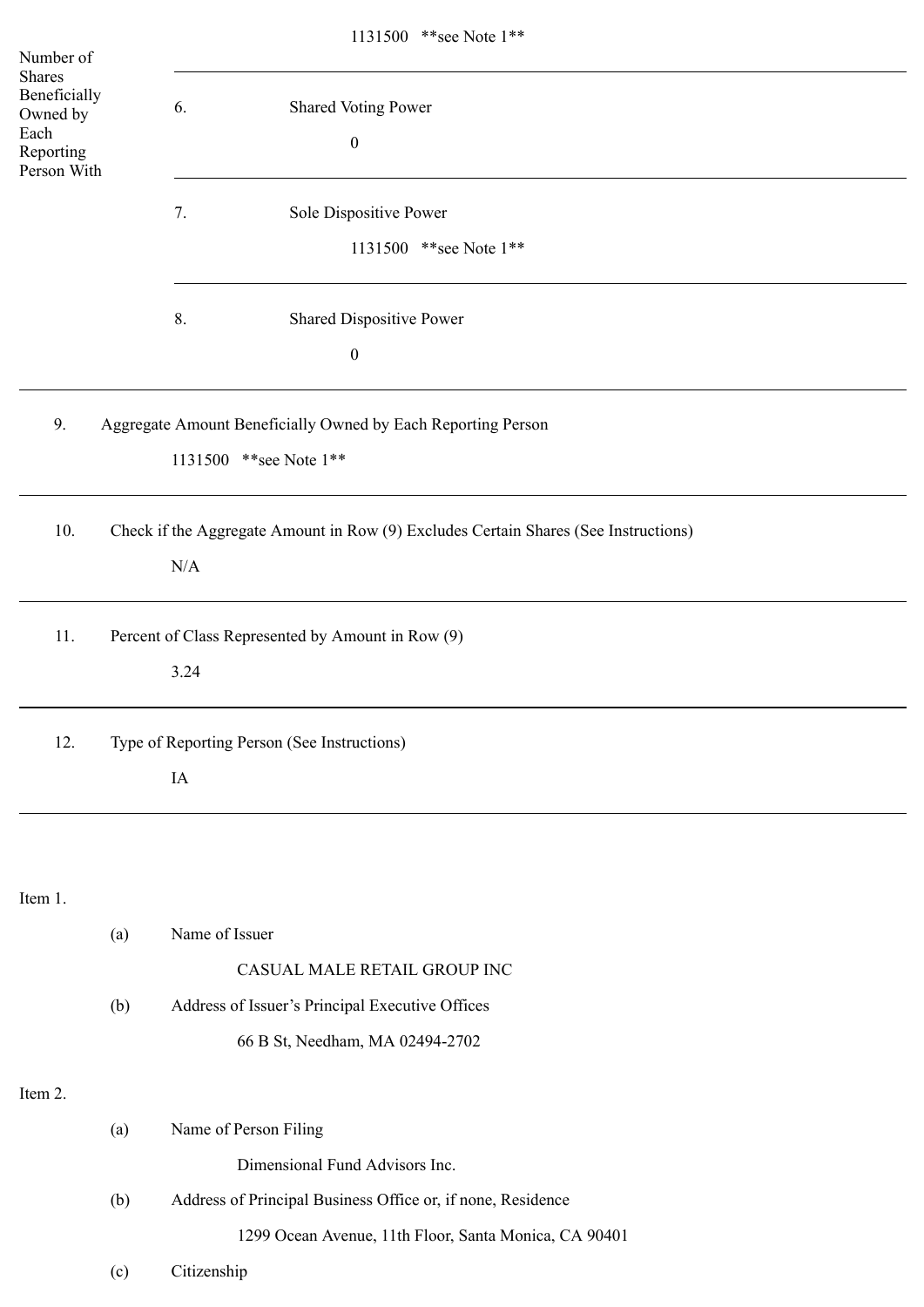| Number of                                                                     |                                                   | 1131500 ** see Note 1**                                                             |  |  |
|-------------------------------------------------------------------------------|---------------------------------------------------|-------------------------------------------------------------------------------------|--|--|
| <b>Shares</b><br>Beneficially<br>Owned by<br>Each<br>Reporting<br>Person With |                                                   | 6.<br><b>Shared Voting Power</b>                                                    |  |  |
|                                                                               |                                                   | $\boldsymbol{0}$                                                                    |  |  |
|                                                                               |                                                   | Sole Dispositive Power<br>7.                                                        |  |  |
|                                                                               |                                                   | 1131500 ** see Note 1**                                                             |  |  |
|                                                                               |                                                   | 8.<br>Shared Dispositive Power                                                      |  |  |
|                                                                               |                                                   | $\boldsymbol{0}$                                                                    |  |  |
| 9.                                                                            |                                                   | Aggregate Amount Beneficially Owned by Each Reporting Person                        |  |  |
|                                                                               |                                                   | 1131500 ** see Note 1**                                                             |  |  |
| 10.                                                                           |                                                   | Check if the Aggregate Amount in Row (9) Excludes Certain Shares (See Instructions) |  |  |
|                                                                               |                                                   | $\rm N/A$                                                                           |  |  |
| 11.                                                                           | Percent of Class Represented by Amount in Row (9) |                                                                                     |  |  |
|                                                                               |                                                   | 3.24                                                                                |  |  |
| 12.                                                                           | Type of Reporting Person (See Instructions)       |                                                                                     |  |  |
|                                                                               |                                                   | IA                                                                                  |  |  |
|                                                                               |                                                   |                                                                                     |  |  |
| Item 1.                                                                       |                                                   |                                                                                     |  |  |
|                                                                               | (a)                                               | Name of Issuer                                                                      |  |  |
|                                                                               |                                                   | CASUAL MALE RETAIL GROUP INC                                                        |  |  |
|                                                                               | (b)                                               | Address of Issuer's Principal Executive Offices                                     |  |  |
|                                                                               |                                                   | 66 B St, Needham, MA 02494-2702                                                     |  |  |
| Item 2.                                                                       |                                                   |                                                                                     |  |  |
|                                                                               | (a)                                               | Name of Person Filing                                                               |  |  |
|                                                                               |                                                   | Dimensional Fund Advisors Inc.                                                      |  |  |
|                                                                               | (b)                                               | Address of Principal Business Office or, if none, Residence                         |  |  |
|                                                                               |                                                   | 1299 Ocean Avenue, 11th Floor, Santa Monica, CA 90401                               |  |  |
|                                                                               | (c)                                               | Citizenship                                                                         |  |  |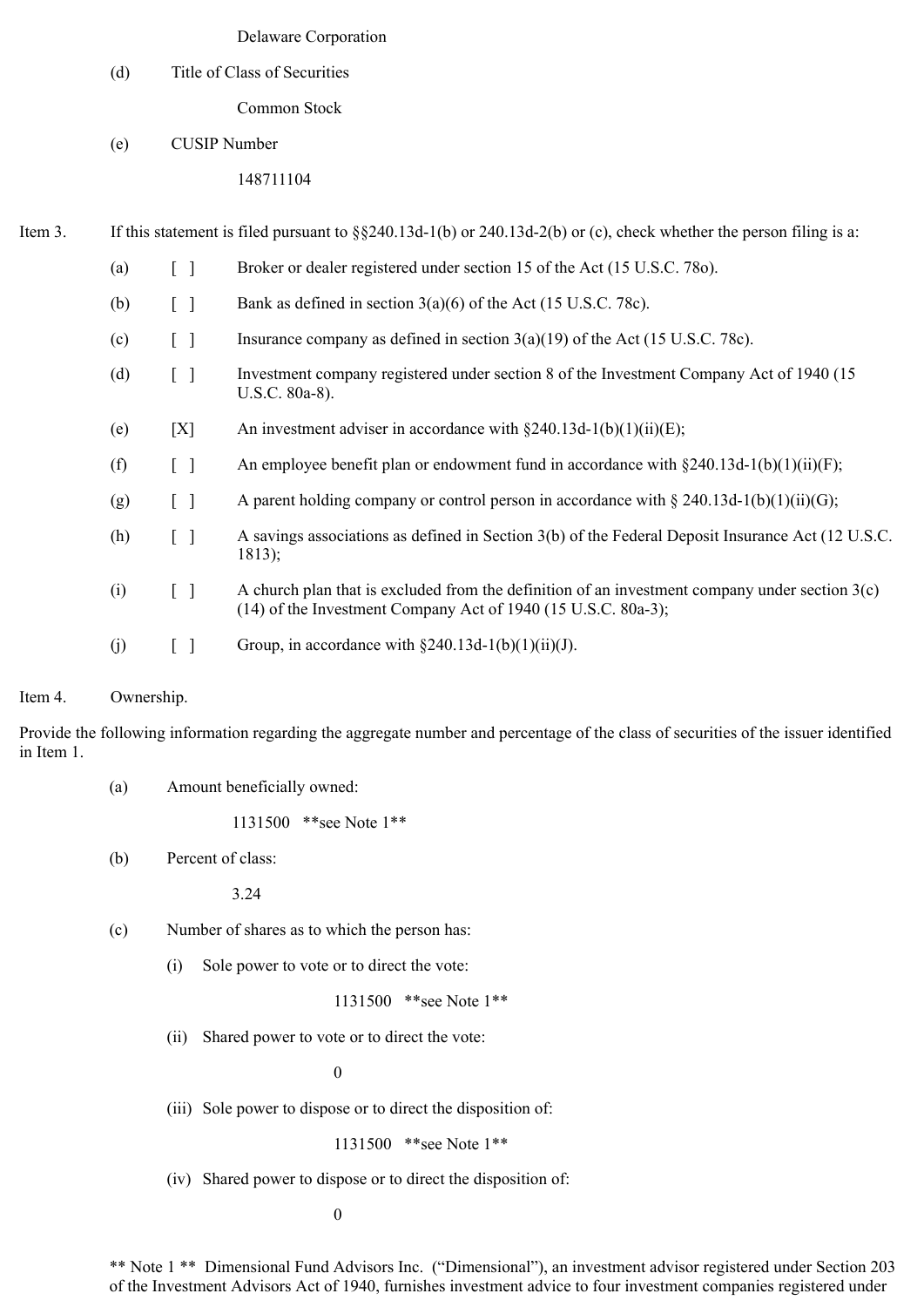### Delaware Corporation

### (d) Title of Class of Securities

Common Stock

(e) CUSIP Number

# 148711104

Item 3. If this statement is filed pursuant to §§240.13d-1(b) or 240.13d-2(b) or (c), check whether the person filing is a:

| (a) |                                               | Broker or dealer registered under section 15 of the Act (15 U.S.C. 780).                                                                                            |
|-----|-----------------------------------------------|---------------------------------------------------------------------------------------------------------------------------------------------------------------------|
| (b) | $[\ ]$                                        | Bank as defined in section $3(a)(6)$ of the Act (15 U.S.C. 78c).                                                                                                    |
| (c) | $\begin{bmatrix} 1 \end{bmatrix}$             | Insurance company as defined in section $3(a)(19)$ of the Act (15 U.S.C. 78c).                                                                                      |
| (d) | $[\ ]$                                        | Investment company registered under section 8 of the Investment Company Act of 1940 (15)<br>U.S.C. 80a-8).                                                          |
| (e) | [X]                                           | An investment adviser in accordance with $\S 240.13d-1(b)(1)(ii)(E)$ ;                                                                                              |
| (f) | $[\ ]$                                        | An employee benefit plan or endowment fund in accordance with $\S 240.13d-1(b)(1)(ii)(F)$ ;                                                                         |
| (g) | $[\ \ ]$                                      | A parent holding company or control person in accordance with $\S 240.13d-1(b)(1)(ii)(G)$ ;                                                                         |
| (h) | $\left[ \begin{array}{c} \end{array} \right]$ | A savings associations as defined in Section 3(b) of the Federal Deposit Insurance Act (12 U.S.C.<br>1813);                                                         |
| (i) | $\begin{bmatrix} \end{bmatrix}$               | A church plan that is excluded from the definition of an investment company under section $3(c)$<br>$(14)$ of the Investment Company Act of 1940 (15 U.S.C. 80a-3); |
| (j) |                                               | Group, in accordance with $\S 240.13d-1(b)(1)(ii)(J)$ .                                                                                                             |

#### Item 4. Ownership.

Provide the following information regarding the aggregate number and percentage of the class of securities of the issuer identified in Item 1.

(a) Amount beneficially owned:

1131500 \*\*see Note 1\*\*

(b) Percent of class:

3.24

- (c) Number of shares as to which the person has:
	- (i) Sole power to vote or to direct the vote:

1131500 \*\*see Note 1\*\*

(ii) Shared power to vote or to direct the vote:

0

(iii) Sole power to dispose or to direct the disposition of:

```
1131500 **see Note 1**
```
(iv) Shared power to dispose or to direct the disposition of:

0

\*\* Note 1 \*\* Dimensional Fund Advisors Inc. ("Dimensional"), an investment advisor registered under Section 203 of the Investment Advisors Act of 1940, furnishes investment advice to four investment companies registered under